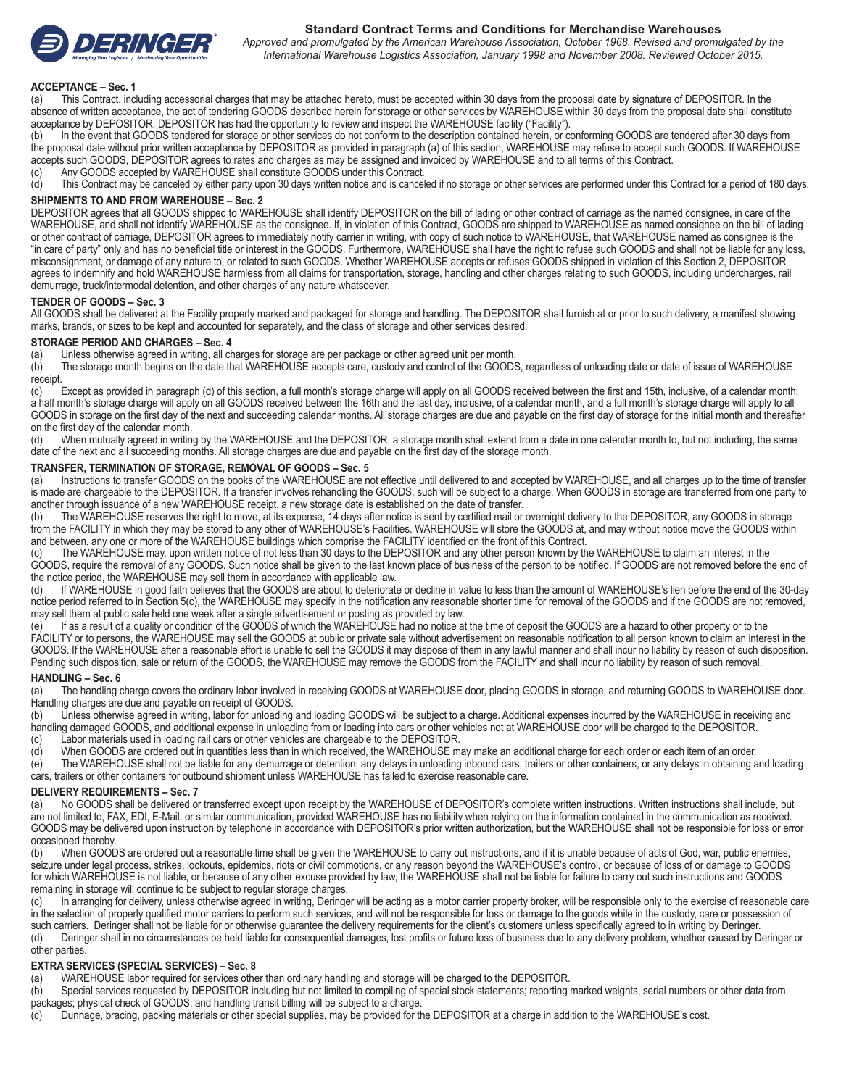

# **Standard Contract Terms and Conditions for Merchandise Warehouses**

*Approved and promulgated by the American Warehouse Association, October 1968. Revised and promulgated by the International Warehouse Logistics Association, January 1998 and November 2008. Reviewed October 2015.*

#### **ACCEPTANCE – Sec. 1**

(a) This Contract, including accessorial charges that may be attached hereto, must be accepted within 30 days from the proposal date by signature of DEPOSITOR. In the absence of written acceptance, the act of tendering GOODS described herein for storage or other services by WAREHOUSE within 30 days from the proposal date shall constitute acceptance by DEPOSITOR. DEPOSITOR has had the opportunity to review and inspect the WAREHOUSE facility ("Facility").

(b) In the event that GOODS tendered for storage or other services do not conform to the description contained herein, or conforming GOODS are tendered after 30 days from the proposal date without prior written acceptance by DEPOSITOR as provided in paragraph (a) of this section, WAREHOUSE may refuse to accept such GOODS. If WAREHOUSE accepts such GOODS, DEPOSITOR agrees to rates and charges as may be assigned and invoiced by WAREHOUSE and to all terms of this Contract.

(c) Any GOODS accepted by WAREHOUSE shall constitute GOODS under this Contract.

(d) This Contract may be canceled by either party upon 30 days written notice and is canceled if no storage or other services are performed under this Contract for a period of 180 days.

#### **SHIPMENTS TO AND FROM WAREHOUSE – Sec. 2**

DEPOSITOR agrees that all GOODS shipped to WAREHOUSE shall identify DEPOSITOR on the bill of lading or other contract of carriage as the named consignee, in care of the WAREHOUSE, and shall not identify WAREHOUSE as the consignee. If, in violation of this Contract, GOODS are shipped to WAREHOUSE as named consignee on the bill of lading or other contract of carriage, DEPOSITOR agrees to immediately notify carrier in writing, with copy of such notice to WAREHOUSE, that WAREHOUSE named as consignee is the "in care of party" only and has no beneficial title or interest in the GOODS. Furthermore, WAREHOUSE shall have the right to refuse such GOODS and shall not be liable for any loss, misconsignment, or damage of any nature to, or related to such GOODS. Whether WAREHOUSE accepts or refuses GOODS shipped in violation of this Section 2, DEPOSITOR agrees to indemnify and hold WAREHOUSE harmless from all claims for transportation, storage, handling and other charges relating to such GOODS, including undercharges, rail demurrage, truck/intermodal detention, and other charges of any nature whatsoever.

# **TENDER OF GOODS – Sec. 3**

All GOODS shall be delivered at the Facility properly marked and packaged for storage and handling. The DEPOSITOR shall furnish at or prior to such delivery, a manifest showing marks, brands, or sizes to be kept and accounted for separately, and the class of storage and other services desired.

# **STORAGE PERIOD AND CHARGES – Sec. 4**<br>(a) Unless otherwise agreed in writing, all ch

(a) Unless otherwise agreed in writing, all charges for storage are per package or other agreed unit per month.<br>(b) The storage month begins on the date that WAREHOUSE accepts care, custody and control of the GOOD The storage month begins on the date that WAREHOUSE accepts care, custody and control of the GOODS, regardless of unloading date or date of issue of WAREHOUSE receipt.<br>(c)

Except as provided in paragraph (d) of this section, a full month's storage charge will apply on all GOODS received between the first and 15th, inclusive, of a calendar month; a half month's storage charge will apply on all GOODS received between the 16th and the last day, inclusive, of a calendar month, and a full month's storage charge will apply to all GOODS in storage on the first day of the next and succeeding calendar months. All storage charges are due and payable on the first day of storage for the initial month and thereafter on the first day of the calendar month.

(d) When mutually agreed in writing by the WAREHOUSE and the DEPOSITOR, a storage month shall extend from a date in one calendar month to, but not including, the same date of the next and all succeeding months. All storage charges are due and payable on the first day of the storage month.

# **TRANSFER, TERMINATION OF STORAGE, REMOVAL OF GOODS – Sec. 5**<br>(a) linstructions to transfer GOODS on the books of the WAREHOUSE are n

Instructions to transfer GOODS on the books of the WAREHOUSE are not effective until delivered to and accepted by WAREHOUSE, and all charges up to the time of transfer is made are chargeable to the DEPOSITOR. If a transfer involves rehandling the GOODS, such will be subject to a charge. When GOODS in storage are transferred from one party to another through issuance of a new WAREHOUSE receipt, a new storage date is established on the date of transfer.

(b) The WAREHOUSE reserves the right to move, at its expense, 14 days after notice is sent by certified mail or overnight delivery to the DEPOSITOR, any GOODS in storage from the FACILITY in which they may be stored to any other of WAREHOUSE's Facilities. WAREHOUSE will store the GOODS at, and may without notice move the GOODS within and between, any one or more of the WAREHOUSE buildings which comprise the FACILITY identified on the front of this Contract.

The WAREHOUSE may, upon written notice of not less than 30 days to the DEPOSITOR and any other person known by the WAREHOUSE to claim an interest in the GOODS, require the removal of any GOODS. Such notice shall be given to the last known place of business of the person to be notified. If GOODS are not removed before the end of the notice period, the WAREHOUSE may sell them in accordance with applicable law.

(d) If WAREHOUSE in good faith believes that the GOODS are about to deteriorate or decline in value to less than the amount of WAREHOUSE's lien before the end of the 30-day notice period referred to in Section 5(c), the WAREHOUSE may specify in the notification any reasonable shorter time for removal of the GOODS and if the GOODS are not removed, may sell them at public sale held one week after a single advertisement or posting as provided by law.

(e) If as a result of a quality or condition of the GOODS of which the WAREHOUSE had no notice at the time of deposit the GOODS are a hazard to other property or to the FACILITY or to persons, the WAREHOUSE may sell the GOODS at public or private sale without advertisement on reasonable notification to all person known to claim an interest in the GOODS. If the WAREHOUSE after a reasonable effort is unable to sell the GOODS it may dispose of them in any lawful manner and shall incur no liability by reason of such disposition. Pending such disposition, sale or return of the GOODS, the WAREHOUSE may remove the GOODS from the FACILITY and shall incur no liability by reason of such removal.

# **HANDLING – Sec. 6**

(a) The handling charge covers the ordinary labor involved in receiving GOODS at WAREHOUSE door, placing GOODS in storage, and returning GOODS to WAREHOUSE door. Handling charges are due and payable on receipt of GOODS.

(b) Unless otherwise agreed in writing, labor for unloading and loading GOODS will be subject to a charge. Additional expenses incurred by the WAREHOUSE in receiving and handling damaged GOODS, and additional expense in unloading from or loading into cars or other vehicles not at WAREHOUSE door will be charged to the DEPOSITOR.

- (c) Labor materials used in loading rail cars or other vehicles are chargeable to the DEPOSITOR.
- (d) When GOODS are ordered out in quantities less than in which received, the WAREHOUSE may make an additional charge for each order or each item of an order.
- (e) The WAREHOUSE shall not be liable for any demurrage or detention, any delays in unloading inbound cars, trailers or other containers, or any delays in obtaining and loading cars, trailers or other containers for outbound shipment unless WAREHOUSE has failed to exercise reasonable care.

#### **DELIVERY REQUIREMENTS – Sec. 7**

(a) No GOODS shall be delivered or transferred except upon receipt by the WAREHOUSE of DEPOSITOR's complete written instructions. Written instructions shall include, but are not limited to, FAX, EDI, E-Mail, or similar communication, provided WAREHOUSE has no liability when relying on the information contained in the communication as received. GOODS may be delivered upon instruction by telephone in accordance with DEPOSITOR's prior written authorization, but the WAREHOUSE shall not be responsible for loss or error occasioned thereby.

(b) When GOODS are ordered out a reasonable time shall be given the WAREHOUSE to carry out instructions, and if it is unable because of acts of God, war, public enemies, seizure under legal process, strikes, lockouts, epidemics, riots or civil commotions, or any reason beyond the WAREHOUSE's control, or because of loss of or damage to GOODS for which WAREHOUSE is not liable, or because of any other excuse provided by law, the WAREHOUSE shall not be liable for failure to carry out such instructions and GOODS remaining in storage will continue to be subject to regular storage charges.

(c) In arranging for delivery, unless otherwise agreed in writing, Deringer will be acting as a motor carrier property broker, will be responsible only to the exercise of reasonable care in the selection of properly qualified motor carriers to perform such services, and will not be responsible for loss or damage to the goods while in the custody, care or possession of such carriers. Deringer shall not be liable for or otherwise guarantee the delivery requirements for the client's customers unless specifically agreed to in writing by Deringer.

(d) Deringer shall in no circumstances be held liable for consequential damages, lost profits or future loss of business due to any delivery problem, whether caused by Deringer or other parties.

**EXTRA SERVICES (SPECIAL SERVICES) – Sec. 8** WAREHOUSE labor required for services other than ordinary handling and storage will be charged to the DEPOSITOR.

(b) Special services requested by DEPOSITOR including but not limited to compiling of special stock statements; reporting marked weights, serial numbers or other data from packages; physical check of GOODS; and handling transit billing will be subject to a charge.

(c) Dunnage, bracing, packing materials or other special supplies, may be provided for the DEPOSITOR at a charge in addition to the WAREHOUSE's cost.